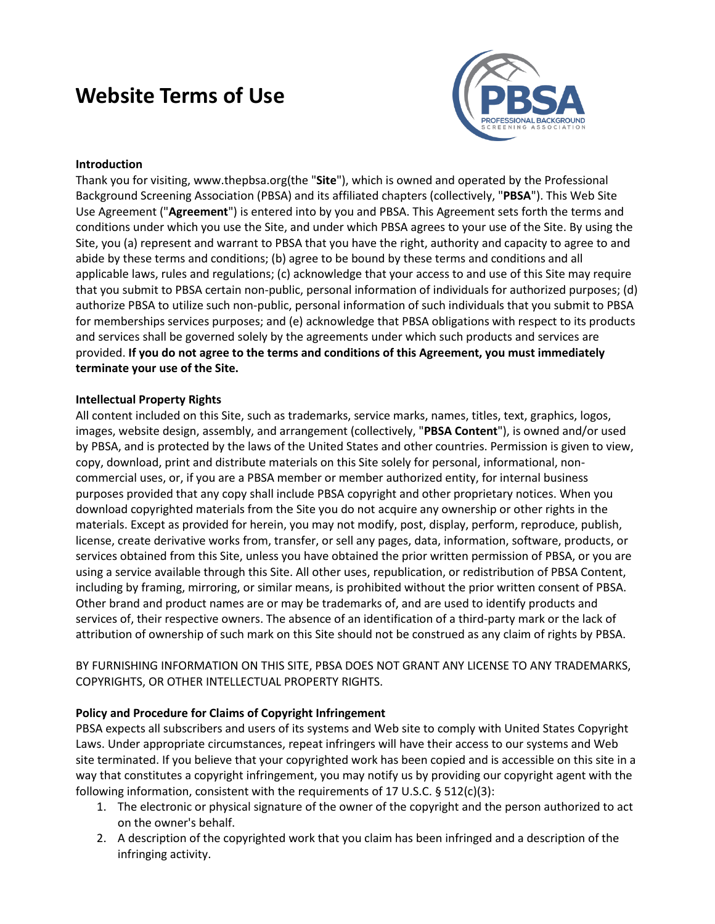# **Website Terms of Use**



### **Introduction**

Thank you for visiting, www.thepbsa.org(the "**Site**"), which is owned and operated by the Professional Background Screening Association (PBSA) and its affiliated chapters (collectively, "**PBSA**"). This Web Site Use Agreement ("**Agreement**") is entered into by you and PBSA. This Agreement sets forth the terms and conditions under which you use the Site, and under which PBSA agrees to your use of the Site. By using the Site, you (a) represent and warrant to PBSA that you have the right, authority and capacity to agree to and abide by these terms and conditions; (b) agree to be bound by these terms and conditions and all applicable laws, rules and regulations; (c) acknowledge that your access to and use of this Site may require that you submit to PBSA certain non-public, personal information of individuals for authorized purposes; (d) authorize PBSA to utilize such non-public, personal information of such individuals that you submit to PBSA for memberships services purposes; and (e) acknowledge that PBSA obligations with respect to its products and services shall be governed solely by the agreements under which such products and services are provided. **If you do not agree to the terms and conditions of this Agreement, you must immediately terminate your use of the Site.**

#### **Intellectual Property Rights**

All content included on this Site, such as trademarks, service marks, names, titles, text, graphics, logos, images, website design, assembly, and arrangement (collectively, "**PBSA Content**"), is owned and/or used by PBSA, and is protected by the laws of the United States and other countries. Permission is given to view, copy, download, print and distribute materials on this Site solely for personal, informational, noncommercial uses, or, if you are a PBSA member or member authorized entity, for internal business purposes provided that any copy shall include PBSA copyright and other proprietary notices. When you download copyrighted materials from the Site you do not acquire any ownership or other rights in the materials. Except as provided for herein, you may not modify, post, display, perform, reproduce, publish, license, create derivative works from, transfer, or sell any pages, data, information, software, products, or services obtained from this Site, unless you have obtained the prior written permission of PBSA, or you are using a service available through this Site. All other uses, republication, or redistribution of PBSA Content, including by framing, mirroring, or similar means, is prohibited without the prior written consent of PBSA. Other brand and product names are or may be trademarks of, and are used to identify products and services of, their respective owners. The absence of an identification of a third-party mark or the lack of attribution of ownership of such mark on this Site should not be construed as any claim of rights by PBSA.

BY FURNISHING INFORMATION ON THIS SITE, PBSA DOES NOT GRANT ANY LICENSE TO ANY TRADEMARKS, COPYRIGHTS, OR OTHER INTELLECTUAL PROPERTY RIGHTS.

# **Policy and Procedure for Claims of Copyright Infringement**

PBSA expects all subscribers and users of its systems and Web site to comply with United States Copyright Laws. Under appropriate circumstances, repeat infringers will have their access to our systems and Web site terminated. If you believe that your copyrighted work has been copied and is accessible on this site in a way that constitutes a copyright infringement, you may notify us by providing our copyright agent with the following information, consistent with the requirements of 17 U.S.C.  $\S$  512(c)(3):

- 1. The electronic or physical signature of the owner of the copyright and the person authorized to act on the owner's behalf.
- 2. A description of the copyrighted work that you claim has been infringed and a description of the infringing activity.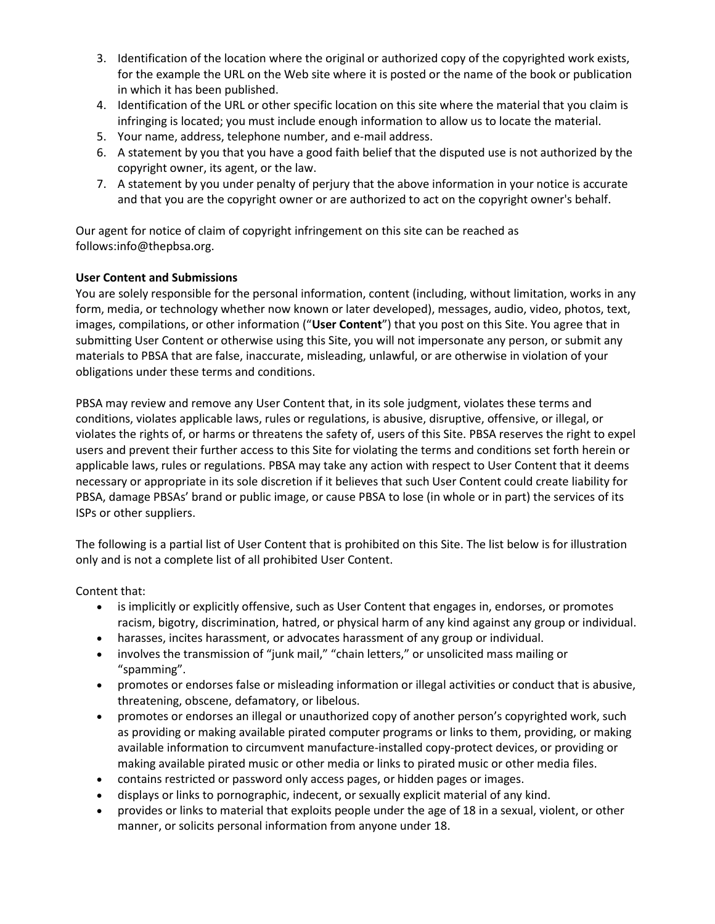- 3. Identification of the location where the original or authorized copy of the copyrighted work exists, for the example the URL on the Web site where it is posted or the name of the book or publication in which it has been published.
- 4. Identification of the URL or other specific location on this site where the material that you claim is infringing is located; you must include enough information to allow us to locate the material.
- 5. Your name, address, telephone number, and e-mail address.
- 6. A statement by you that you have a good faith belief that the disputed use is not authorized by the copyright owner, its agent, or the law.
- 7. A statement by you under penalty of perjury that the above information in your notice is accurate and that you are the copyright owner or are authorized to act on the copyright owner's behalf.

Our agent for notice of claim of copyright infringement on this site can be reached as follows:info@thepbsa.org.

# **User Content and Submissions**

You are solely responsible for the personal information, content (including, without limitation, works in any form, media, or technology whether now known or later developed), messages, audio, video, photos, text, images, compilations, or other information ("**User Content**") that you post on this Site. You agree that in submitting User Content or otherwise using this Site, you will not impersonate any person, or submit any materials to PBSA that are false, inaccurate, misleading, unlawful, or are otherwise in violation of your obligations under these terms and conditions.

PBSA may review and remove any User Content that, in its sole judgment, violates these terms and conditions, violates applicable laws, rules or regulations, is abusive, disruptive, offensive, or illegal, or violates the rights of, or harms or threatens the safety of, users of this Site. PBSA reserves the right to expel users and prevent their further access to this Site for violating the terms and conditions set forth herein or applicable laws, rules or regulations. PBSA may take any action with respect to User Content that it deems necessary or appropriate in its sole discretion if it believes that such User Content could create liability for PBSA, damage PBSAs' brand or public image, or cause PBSA to lose (in whole or in part) the services of its ISPs or other suppliers.

The following is a partial list of User Content that is prohibited on this Site. The list below is for illustration only and is not a complete list of all prohibited User Content.

Content that:

- is implicitly or explicitly offensive, such as User Content that engages in, endorses, or promotes racism, bigotry, discrimination, hatred, or physical harm of any kind against any group or individual.
- harasses, incites harassment, or advocates harassment of any group or individual.
- involves the transmission of "junk mail," "chain letters," or unsolicited mass mailing or "spamming".
- promotes or endorses false or misleading information or illegal activities or conduct that is abusive, threatening, obscene, defamatory, or libelous.
- promotes or endorses an illegal or unauthorized copy of another person's copyrighted work, such as providing or making available pirated computer programs or links to them, providing, or making available information to circumvent manufacture-installed copy-protect devices, or providing or making available pirated music or other media or links to pirated music or other media files.
- contains restricted or password only access pages, or hidden pages or images.
- displays or links to pornographic, indecent, or sexually explicit material of any kind.
- provides or links to material that exploits people under the age of 18 in a sexual, violent, or other manner, or solicits personal information from anyone under 18.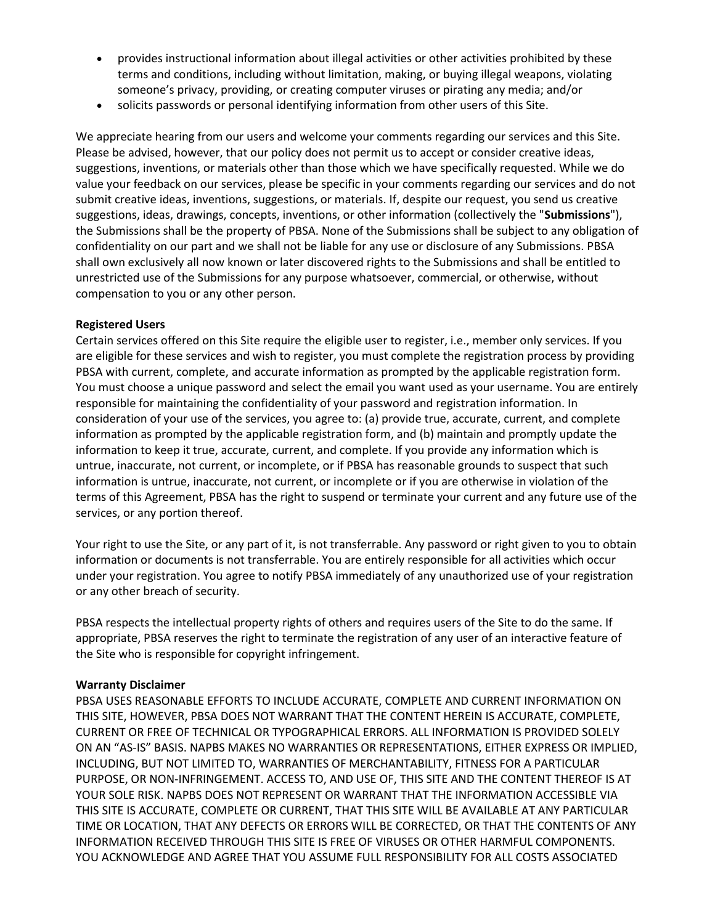- provides instructional information about illegal activities or other activities prohibited by these terms and conditions, including without limitation, making, or buying illegal weapons, violating someone's privacy, providing, or creating computer viruses or pirating any media; and/or
- solicits passwords or personal identifying information from other users of this Site.

We appreciate hearing from our users and welcome your comments regarding our services and this Site. Please be advised, however, that our policy does not permit us to accept or consider creative ideas, suggestions, inventions, or materials other than those which we have specifically requested. While we do value your feedback on our services, please be specific in your comments regarding our services and do not submit creative ideas, inventions, suggestions, or materials. If, despite our request, you send us creative suggestions, ideas, drawings, concepts, inventions, or other information (collectively the "**Submissions**"), the Submissions shall be the property of PBSA. None of the Submissions shall be subject to any obligation of confidentiality on our part and we shall not be liable for any use or disclosure of any Submissions. PBSA shall own exclusively all now known or later discovered rights to the Submissions and shall be entitled to unrestricted use of the Submissions for any purpose whatsoever, commercial, or otherwise, without compensation to you or any other person.

#### **Registered Users**

Certain services offered on this Site require the eligible user to register, i.e., member only services. If you are eligible for these services and wish to register, you must complete the registration process by providing PBSA with current, complete, and accurate information as prompted by the applicable registration form. You must choose a unique password and select the email you want used as your username. You are entirely responsible for maintaining the confidentiality of your password and registration information. In consideration of your use of the services, you agree to: (a) provide true, accurate, current, and complete information as prompted by the applicable registration form, and (b) maintain and promptly update the information to keep it true, accurate, current, and complete. If you provide any information which is untrue, inaccurate, not current, or incomplete, or if PBSA has reasonable grounds to suspect that such information is untrue, inaccurate, not current, or incomplete or if you are otherwise in violation of the terms of this Agreement, PBSA has the right to suspend or terminate your current and any future use of the services, or any portion thereof.

Your right to use the Site, or any part of it, is not transferrable. Any password or right given to you to obtain information or documents is not transferrable. You are entirely responsible for all activities which occur under your registration. You agree to notify PBSA immediately of any unauthorized use of your registration or any other breach of security.

PBSA respects the intellectual property rights of others and requires users of the Site to do the same. If appropriate, PBSA reserves the right to terminate the registration of any user of an interactive feature of the Site who is responsible for copyright infringement.

#### **Warranty Disclaimer**

PBSA USES REASONABLE EFFORTS TO INCLUDE ACCURATE, COMPLETE AND CURRENT INFORMATION ON THIS SITE, HOWEVER, PBSA DOES NOT WARRANT THAT THE CONTENT HEREIN IS ACCURATE, COMPLETE, CURRENT OR FREE OF TECHNICAL OR TYPOGRAPHICAL ERRORS. ALL INFORMATION IS PROVIDED SOLELY ON AN "AS-IS" BASIS. NAPBS MAKES NO WARRANTIES OR REPRESENTATIONS, EITHER EXPRESS OR IMPLIED, INCLUDING, BUT NOT LIMITED TO, WARRANTIES OF MERCHANTABILITY, FITNESS FOR A PARTICULAR PURPOSE, OR NON-INFRINGEMENT. ACCESS TO, AND USE OF, THIS SITE AND THE CONTENT THEREOF IS AT YOUR SOLE RISK. NAPBS DOES NOT REPRESENT OR WARRANT THAT THE INFORMATION ACCESSIBLE VIA THIS SITE IS ACCURATE, COMPLETE OR CURRENT, THAT THIS SITE WILL BE AVAILABLE AT ANY PARTICULAR TIME OR LOCATION, THAT ANY DEFECTS OR ERRORS WILL BE CORRECTED, OR THAT THE CONTENTS OF ANY INFORMATION RECEIVED THROUGH THIS SITE IS FREE OF VIRUSES OR OTHER HARMFUL COMPONENTS. YOU ACKNOWLEDGE AND AGREE THAT YOU ASSUME FULL RESPONSIBILITY FOR ALL COSTS ASSOCIATED